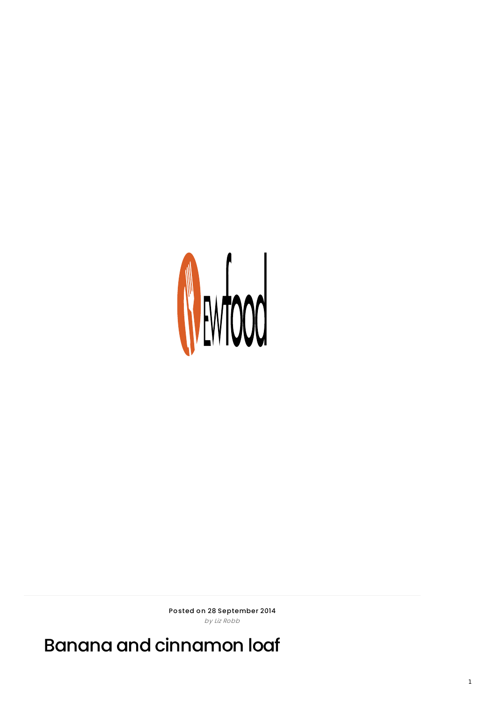

Posted on 28 September 2014 by Liz Robb

Banana and cinnamon loaf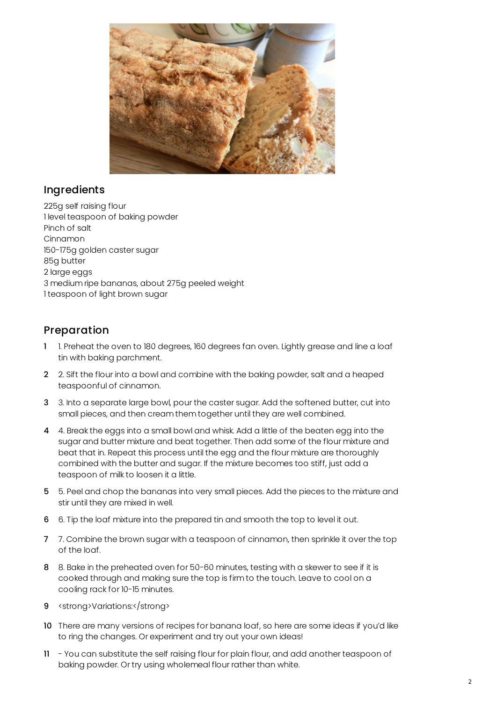

## Ingredients

225g self raising flour 1 level teaspoon of baking powder Pinch of salt Cinnamon 150-175g golden caster sugar 85g butter 2 large eggs 3 medium ripe bananas, about 275g peeled weight 1 teaspoon of light brown sugar

## Preparation

- 1. Preheat the oven to 180 degrees, 160 degrees fan oven. Lightly grease and line a loaf tin with baking parchment.
- 2 2. Sift the flour into a bowl and combine with the baking powder, salt and a heaped teaspoonful of cinnamon.
- 3 3. Into a separate large bowl, pour the caster sugar. Add the softened butter, cut into small pieces, and then cream them together until they are well combined.
- 4 4. Break the eggs into a small bowl and whisk. Add a little of the beaten egg into the sugar and butter mixture and beat together. Then add some of the flour mixture and beat that in. Repeat this process until the egg and the flour mixture are thoroughly combined with the butter and sugar. If the mixture becomes too stiff, just add a teaspoon of milk to loosen it a little.
- 5 5. Peel and chop the bananas into very small pieces. Add the pieces to the mixture and stir until they are mixed in well.
- 6 6. Tip the loaf mixture into the prepared tin and smooth the top to level it out.
- 7 7. Combine the brown sugar with a teaspoon of cinnamon, then sprinkle it over the top of the loaf.
- 8 8. Bake in the preheated oven for 50-60 minutes, testing with a skewer to see if it is cooked through and making sure the top is firm to the touch. Leave to cool on a cooling rack for 10-15 minutes.
- 9 <strong>Variations:</strong>
- 10 There are many versions of recipes for banana loaf, so here are some ideas if you'd like to ring the changes. Or experiment and try out your own ideas!
- 11 You can substitute the self raising flour for plain flour, and add another teaspoon of baking powder. Or try using wholemeal flour rather than white.